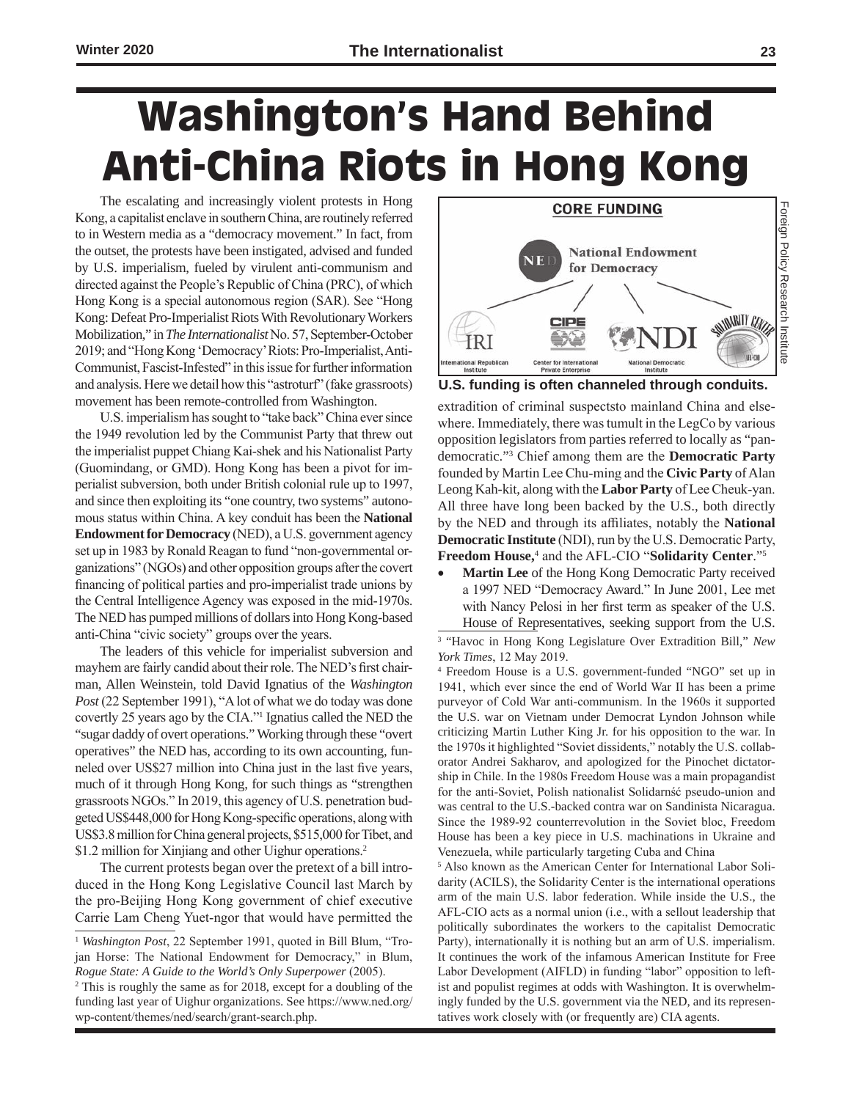# **Washington's Hand Behind Anti-China Riots in Hong Kong**

The escalating and increasingly violent protests in Hong Kong, a capitalist enclave in southern China, are routinely referred to in Western media as a "democracy movement." In fact, from the outset, the protests have been instigated, advised and funded by U.S. imperialism, fueled by virulent anti-communism and directed against the People's Republic of China (PRC), of which Hong Kong is a special autonomous region (SAR). See "Hong Kong: Defeat Pro-Imperialist Riots With Revolutionary Workers Mobilization," in *The Internationalist* No. 57, September-October 2019; and "Hong Kong 'Democracy' Riots: Pro-Imperialist, Anti-Communist, Fascist-Infested" in this issue for further information and analysis. Here we detail how this "astroturf" (fake grassroots) movement has been remote-controlled from Washington.

U.S. imperialism has sought to "take back" China ever since the 1949 revolution led by the Communist Party that threw out the imperialist puppet Chiang Kai-shek and his Nationalist Party (Guomindang, or GMD). Hong Kong has been a pivot for imperialist subversion, both under British colonial rule up to 1997, and since then exploiting its "one country, two systems" autonomous status within China. A key conduit has been the **National Endowment for Democracy** (NED), a U.S. government agency set up in 1983 by Ronald Reagan to fund "non-governmental organizations" (NGOs) and other opposition groups after the covert financing of political parties and pro-imperialist trade unions by the Central Intelligence Agency was exposed in the mid-1970s. The NED has pumped millions of dollars into Hong Kong-based anti-China "civic society" groups over the years.

The leaders of this vehicle for imperialist subversion and mayhem are fairly candid about their role. The NED's first chairman, Allen Weinstein, told David Ignatius of the *Washington Post* (22 September 1991), "A lot of what we do today was done covertly 25 years ago by the CIA."<sup>1</sup> Ignatius called the NED the "sugar daddy of overt operations." Working through these "overt operatives" the NED has, according to its own accounting, funneled over US\$27 million into China just in the last five years, much of it through Hong Kong, for such things as "strengthen grassroots NGOs." In 2019, this agency of U.S. penetration budgeted US\$448,000 for Hong Kong-specific operations, along with US\$3.8 million for China general projects, \$515,000 for Tibet, and \$1.2 million for Xinjiang and other Uighur operations.<sup>2</sup>

The current protests began over the pretext of a bill introduced in the Hong Kong Legislative Council last March by the pro-Beijing Hong Kong government of chief executive Carrie Lam Cheng Yuet-ngor that would have permitted the



**U.S. funding is often channeled through conduits.**

extradition of criminal suspectsto mainland China and elsewhere. Immediately, there was tumult in the LegCo by various opposition legislators from parties referred to locally as "pandemocratic."3 Chief among them are the **Democratic Party** founded by Martin Lee Chu-ming and the **Civic Party** of Alan Leong Kah-kit, along with the **Labor Party** of Lee Cheuk-yan. All three have long been backed by the U.S., both directly by the NED and through its affiliates, notably the **National Democratic Institute** (NDI), run by the U.S. Democratic Party, **Freedom House,**<sup>4</sup> and the AFL-CIO "**Solidarity Center**."5

**Martin Lee** of the Hong Kong Democratic Party received a 1997 NED "Democracy Award." In June 2001, Lee met with Nancy Pelosi in her first term as speaker of the U.S. House of Representatives, seeking support from the U.S.

3 "Havoc in Hong Kong Legislature Over Extradition Bill," *New York Times*, 12 May 2019.

4 Freedom House is a U.S. government-funded "NGO" set up in 1941, which ever since the end of World War II has been a prime purveyor of Cold War anti-communism. In the 1960s it supported the U.S. war on Vietnam under Democrat Lyndon Johnson while criticizing Martin Luther King Jr. for his opposition to the war. In the 1970s it highlighted "Soviet dissidents," notably the U.S. collaborator Andrei Sakharov, and apologized for the Pinochet dictatorship in Chile. In the 1980s Freedom House was a main propagandist for the anti-Soviet, Polish nationalist Solidarnść pseudo-union and was central to the U.S.-backed contra war on Sandinista Nicaragua. Since the 1989-92 counterrevolution in the Soviet bloc, Freedom House has been a key piece in U.S. machinations in Ukraine and Venezuela, while particularly targeting Cuba and China

5 Also known as the American Center for International Labor Solidarity (ACILS), the Solidarity Center is the international operations arm of the main U.S. labor federation. While inside the U.S., the AFL-CIO acts as a normal union (i.e., with a sellout leadership that politically subordinates the workers to the capitalist Democratic Party), internationally it is nothing but an arm of U.S. imperialism. It continues the work of the infamous American Institute for Free Labor Development (AIFLD) in funding "labor" opposition to leftist and populist regimes at odds with Washington. It is overwhelmingly funded by the U.S. government via the NED, and its representatives work closely with (or frequently are) CIA agents.

<sup>1</sup> *Washington Post*, 22 September 1991, quoted in Bill Blum, "Trojan Horse: The National Endowment for Democracy," in Blum, *Rogue State: A Guide to the World's Only Superpower* (2005).

<sup>&</sup>lt;sup>2</sup> This is roughly the same as for 2018, except for a doubling of the funding last year of Uighur organizations. See https://www.ned.org/ wp-content/themes/ned/search/grant-search.php.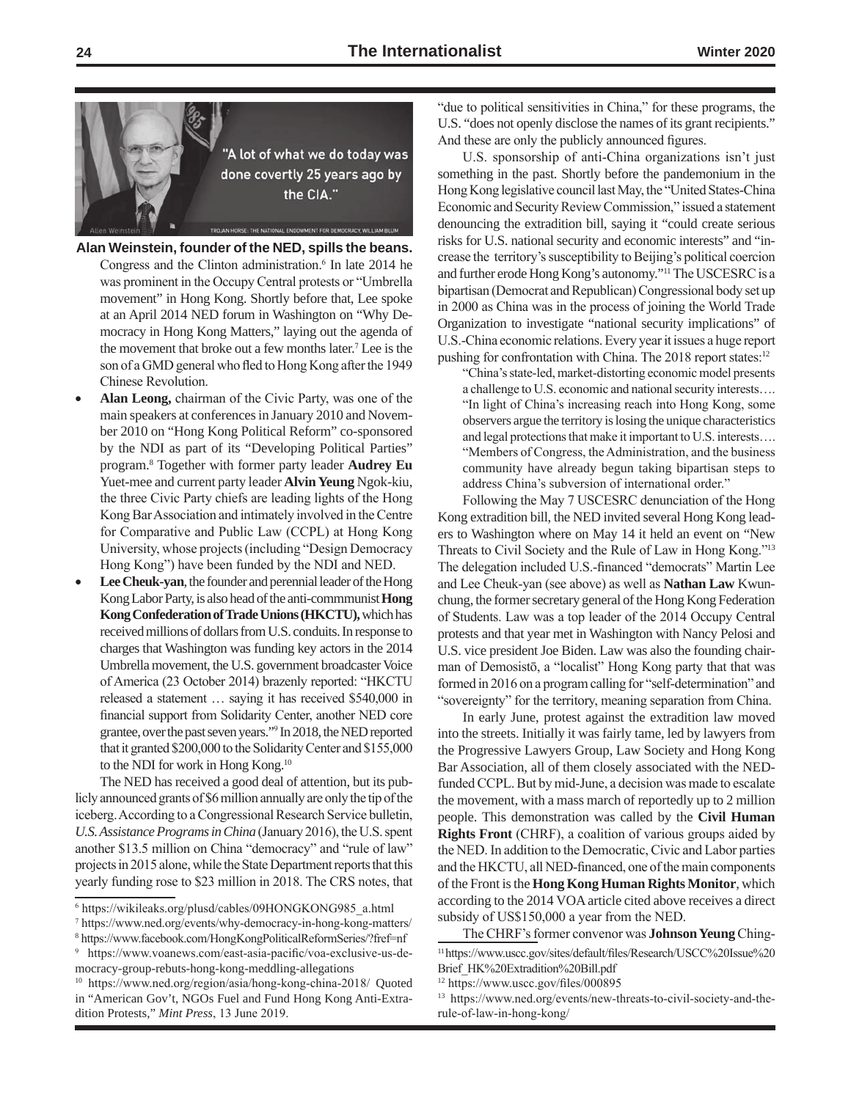

**Alan Weinstein, founder of the NED, spills the beans.**

- Congress and the Clinton administration.<sup>6</sup> In late 2014 he was prominent in the Occupy Central protests or "Umbrella movement" in Hong Kong. Shortly before that, Lee spoke at an April 2014 NED forum in Washington on "Why Democracy in Hong Kong Matters," laying out the agenda of the movement that broke out a few months later.<sup>7</sup> Lee is the son of a GMD general who fled to Hong Kong after the 1949 Chinese Revolution.
- Alan Leong, chairman of the Civic Party, was one of the main speakers at conferences in January 2010 and November 2010 on "Hong Kong Political Reform" co-sponsored by the NDI as part of its "Developing Political Parties" program.8 Together with former party leader **Audrey Eu**  Yuet-mee and current party leader **Alvin Yeung** Ngok-kiu, the three Civic Party chiefs are leading lights of the Hong Kong Bar Association and intimately involved in the Centre for Comparative and Public Law (CCPL) at Hong Kong University, whose projects (including "Design Democracy Hong Kong") have been funded by the NDI and NED.
- **Lee Cheuk-yan**, the founder and perennial leader of the Hong Kong Labor Party, is also head of the anti-commmunist **Hong Kong Confederation of Trade Unions (HKCTU),** which has received millions of dollars from U.S. conduits. In response to charges that Washington was funding key actors in the 2014 Umbrella movement, the U.S. government broadcaster Voice of America (23 October 2014) brazenly reported: "HKCTU released a statement … saying it has received \$540,000 in financial support from Solidarity Center, another NED core grantee, over the past seven years."<sup>9</sup> In 2018, the NED reported that it granted \$200,000 to the Solidarity Center and \$155,000 to the NDI for work in Hong Kong.10

The NED has received a good deal of attention, but its publicly announced grants of \$6 million annually are only the tip of the iceberg. According to a Congressional Research Service bulletin, *U.S. Assistance Programs in China* (January 2016), the U.S. spent another \$13.5 million on China "democracy" and "rule of law" projects in 2015 alone, while the State Department reports that this yearly funding rose to \$23 million in 2018. The CRS notes, that "due to political sensitivities in China," for these programs, the U.S. "does not openly disclose the names of its grant recipients." And these are only the publicly announced figures.

U.S. sponsorship of anti-China organizations isn't just something in the past. Shortly before the pandemonium in the Hong Kong legislative council last May, the "United States-China Economic and Security Review Commission," issued a statement denouncing the extradition bill, saying it "could create serious risks for U.S. national security and economic interests" and "increase the territory's susceptibility to Beijing's political coercion and further erode Hong Kong's autonomy."11 The USCESRC is a bipartisan (Democrat and Republican) Congressional body set up in 2000 as China was in the process of joining the World Trade Organization to investigate "national security implications" of U.S.-China economic relations. Every year it issues a huge report pushing for confrontation with China. The 2018 report states:<sup>12</sup>

"China's state-led, market-distorting economic model presents a challenge to U.S. economic and national security interests…. "In light of China's increasing reach into Hong Kong, some observers argue the territory is losing the unique characteristics and legal protections that make it important to U.S. interests…. "Members of Congress, the Administration, and the business community have already begun taking bipartisan steps to address China's subversion of international order."

Following the May 7 USCESRC denunciation of the Hong Kong extradition bill, the NED invited several Hong Kong leaders to Washington where on May 14 it held an event on "New Threats to Civil Society and the Rule of Law in Hong Kong."<sup>13</sup> The delegation included U.S.-financed "democrats" Martin Lee and Lee Cheuk-yan (see above) as well as **Nathan Law** Kwunchung, the former secretary general of the Hong Kong Federation of Students. Law was a top leader of the 2014 Occupy Central protests and that year met in Washington with Nancy Pelosi and U.S. vice president Joe Biden. Law was also the founding chairman of Demosistō, a "localist" Hong Kong party that that was formed in 2016 on a program calling for "self-determination" and "sovereignty" for the territory, meaning separation from China.

In early June, protest against the extradition law moved into the streets. Initially it was fairly tame, led by lawyers from the Progressive Lawyers Group, Law Society and Hong Kong Bar Association, all of them closely associated with the NEDfunded CCPL. But by mid-June, a decision was made to escalate the movement, with a mass march of reportedly up to 2 million people. This demonstration was called by the **Civil Human Rights Front** (CHRF), a coalition of various groups aided by the NED. In addition to the Democratic, Civic and Labor parties and the HKCTU, all NED-financed, one of the main components of the Front is the **Hong Kong Human Rights Monitor**, which according to the 2014 VOA article cited above receives a direct subsidy of US\$150,000 a year from the NED.

The CHRF's former convenor was **Johnson Yeung** Ching-<sup>11</sup> https://www.uscc.gov/sites/default/files/Research/USCC%20Issue%20 Brief\_HK%20Extradition%20Bill.pdf

<sup>6</sup> https://wikileaks.org/plusd/cables/09HONGKONG985\_a.html

<sup>7</sup> https://www.ned.org/events/why-democracy-in-hong-kong-matters/ <sup>8</sup> https://www.facebook.com/HongKongPoliticalReformSeries/?fref=nf

<sup>9</sup> https://www.voanews.com/east-asia-pacific/voa-exclusive-us-democracy-group-rebuts-hong-kong-meddling-allegations

<sup>10</sup> https://www.ned.org/region/asia/hong-kong-china-2018/ Quoted in "American Gov't, NGOs Fuel and Fund Hong Kong Anti-Extradition Protests," *Mint Press*, 13 June 2019.

<sup>12</sup> https://www.uscc.gov/files/000895

<sup>13</sup> https://www.ned.org/events/new-threats-to-civil-society-and-therule-of-law-in-hong-kong/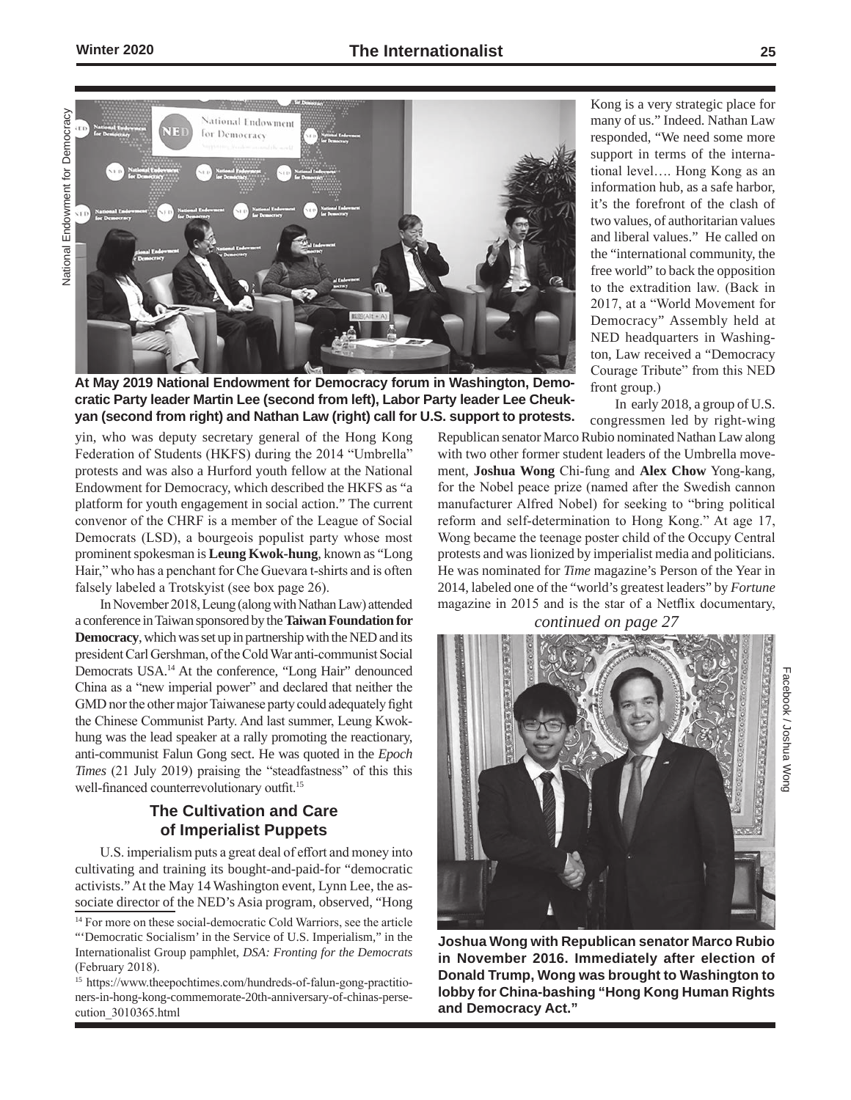National Endowment for Democracy National Endowment for Democracy



**At May 2019 National Endowment for Democracy forum in Washington, Democratic Party leader Martin Lee (second from left), Labor Party leader Lee Cheukyan (second from right) and Nathan Law (right) call for U.S. support to protests.** 

yin, who was deputy secretary general of the Hong Kong Federation of Students (HKFS) during the 2014 "Umbrella" protests and was also a Hurford youth fellow at the National Endowment for Democracy, which described the HKFS as "a platform for youth engagement in social action." The current convenor of the CHRF is a member of the League of Social Democrats (LSD), a bourgeois populist party whose most prominent spokesman is **Leung Kwok-hung**, known as "Long Hair," who has a penchant for Che Guevara t-shirts and is often falsely labeled a Trotskyist (see box page 26).

In November 2018, Leung (along with Nathan Law) attended a conference in Taiwan sponsored by the **Taiwan Foundation for Democracy**, which was set up in partnership with the NED and its president Carl Gershman, of the Cold War anti-communist Social Democrats USA.14 At the conference, "Long Hair" denounced China as a "new imperial power" and declared that neither the GMD nor the other major Taiwanese party could adequately fight the Chinese Communist Party. And last summer, Leung Kwokhung was the lead speaker at a rally promoting the reactionary, anti-communist Falun Gong sect. He was quoted in the *Epoch Times* (21 July 2019) praising the "steadfastness" of this this well-financed counterrevolutionary outfit.<sup>15</sup>

## **The Cultivation and Care of Imperialist Puppets**

U.S. imperialism puts a great deal of effort and money into cultivating and training its bought-and-paid-for "democratic activists." At the May 14 Washington event, Lynn Lee, the associate director of the NED's Asia program, observed, "Hong Kong is a very strategic place for many of us." Indeed. Nathan Law responded, "We need some more support in terms of the international level…. Hong Kong as an information hub, as a safe harbor, it's the forefront of the clash of two values, of authoritarian values and liberal values." He called on the "international community, the free world" to back the opposition to the extradition law. (Back in 2017, at a "World Movement for Democracy" Assembly held at NED headquarters in Washington, Law received a "Democracy Courage Tribute" from this NED front group.)

In early 2018, a group of U.S. congressmen led by right-wing

Facebook / Joshua Wong

Facebook / Joshua Wong

Republican senator Marco Rubio nominated Nathan Law along with two other former student leaders of the Umbrella movement, **Joshua Wong** Chi-fung and **Alex Chow** Yong-kang, for the Nobel peace prize (named after the Swedish cannon manufacturer Alfred Nobel) for seeking to "bring political reform and self-determination to Hong Kong." At age 17, Wong became the teenage poster child of the Occupy Central protests and was lionized by imperialist media and politicians. He was nominated for *Time* magazine's Person of the Year in 2014, labeled one of the "world's greatest leaders" by *Fortune* magazine in 2015 and is the star of a Netflix documentary, *continued on page 27*



**Joshua Wong with Republican senator Marco Rubio in November 2016. Immediately after election of Donald Trump, Wong was brought to Washington to lobby for China-bashing "Hong Kong Human Rights and Democracy Act."** 

<sup>&</sup>lt;sup>14</sup> For more on these social-democratic Cold Warriors, see the article "'Democratic Socialism' in the Service of U.S. Imperialism," in the Internationalist Group pamphlet, *DSA: Fronting for the Democrats* (February 2018).

<sup>15</sup> https://www.theepochtimes.com/hundreds-of-falun-gong-practitioners-in-hong-kong-commemorate-20th-anniversary-of-chinas-persecution\_3010365.html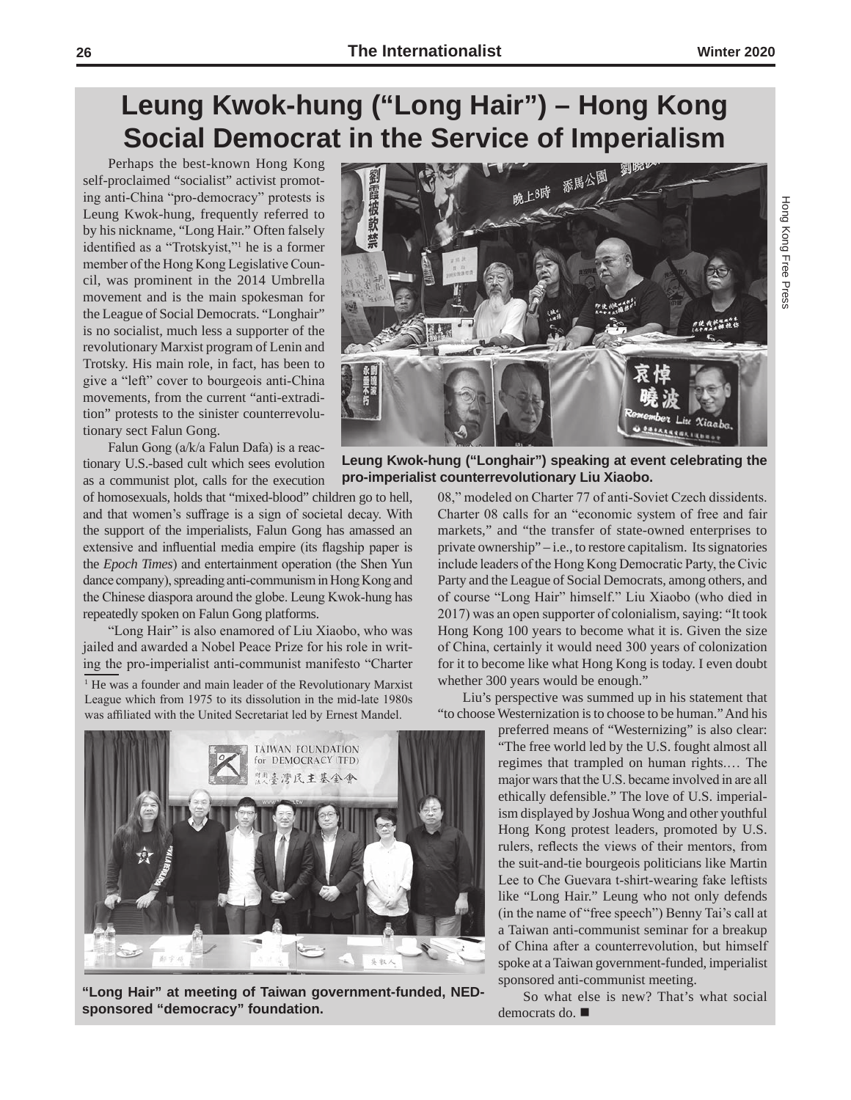Hong Kong Free Press

Hong Kong Free Press

# **Leung Kwok-hung ("Long Hair") – Hong Kong Social Democrat in the Service of Imperialism**

Perhaps the best-known Hong Kong self-proclaimed "socialist" activist promoting anti-China "pro-democracy" protests is Leung Kwok-hung, frequently referred to by his nickname, "Long Hair." Often falsely identified as a "Trotskyist,"<sup>1</sup> he is a former member of the Hong Kong Legislative Council, was prominent in the 2014 Umbrella movement and is the main spokesman for the League of Social Democrats. "Longhair" is no socialist, much less a supporter of the revolutionary Marxist program of Lenin and Trotsky. His main role, in fact, has been to give a "left" cover to bourgeois anti-China movements, from the current "anti-extradition" protests to the sinister counterrevolutionary sect Falun Gong.

Falun Gong (a/k/a Falun Dafa) is a reactionary U.S.-based cult which sees evolution as a communist plot, calls for the execution

of homosexuals, holds that "mixed-blood" children go to hell, and that women's suffrage is a sign of societal decay. With the support of the imperialists, Falun Gong has amassed an extensive and influential media empire (its flagship paper is the *Epoch Times*) and entertainment operation (the Shen Yun dance company), spreading anti-communism in Hong Kong and the Chinese diaspora around the globe. Leung Kwok-hung has repeatedly spoken on Falun Gong platforms.

"Long Hair" is also enamored of Liu Xiaobo, who was jailed and awarded a Nobel Peace Prize for his role in writing the pro-imperialist anti-communist manifesto "Charter

<sup>1</sup> He was a founder and main leader of the Revolutionary Marxist League which from 1975 to its dissolution in the mid-late 1980s was affiliated with the United Secretariat led by Ernest Mandel.



**"Long Hair" at meeting of Taiwan government-funded, NEDsponsored "democracy" foundation.**



**Leung Kwok-hung ("Longhair") speaking at event celebrating the pro-imperialist counterrevolutionary Liu Xiaobo.** 

> 08," modeled on Charter 77 of anti-Soviet Czech dissidents. Charter 08 calls for an "economic system of free and fair markets," and "the transfer of state-owned enterprises to private ownership" – i.e., to restore capitalism. Its signatories include leaders of the Hong Kong Democratic Party, the Civic Party and the League of Social Democrats, among others, and of course "Long Hair" himself." Liu Xiaobo (who died in 2017) was an open supporter of colonialism, saying: "It took Hong Kong 100 years to become what it is. Given the size of China, certainly it would need 300 years of colonization for it to become like what Hong Kong is today. I even doubt whether 300 years would be enough."

> Liu's perspective was summed up in his statement that "to choose Westernization is to choose to be human." And his

preferred means of "Westernizing" is also clear: "The free world led by the U.S. fought almost all regimes that trampled on human rights.… The major wars that the U.S. became involved in are all ethically defensible." The love of U.S. imperialism displayed by Joshua Wong and other youthful Hong Kong protest leaders, promoted by U.S. rulers, reflects the views of their mentors, from the suit-and-tie bourgeois politicians like Martin Lee to Che Guevara t-shirt-wearing fake leftists like "Long Hair." Leung who not only defends (in the name of "free speech") Benny Tai's call at a Taiwan anti-communist seminar for a breakup of China after a counterrevolution, but himself spoke at a Taiwan government-funded, imperialist sponsored anti-communist meeting.

So what else is new? That's what social democrats do.  $\blacksquare$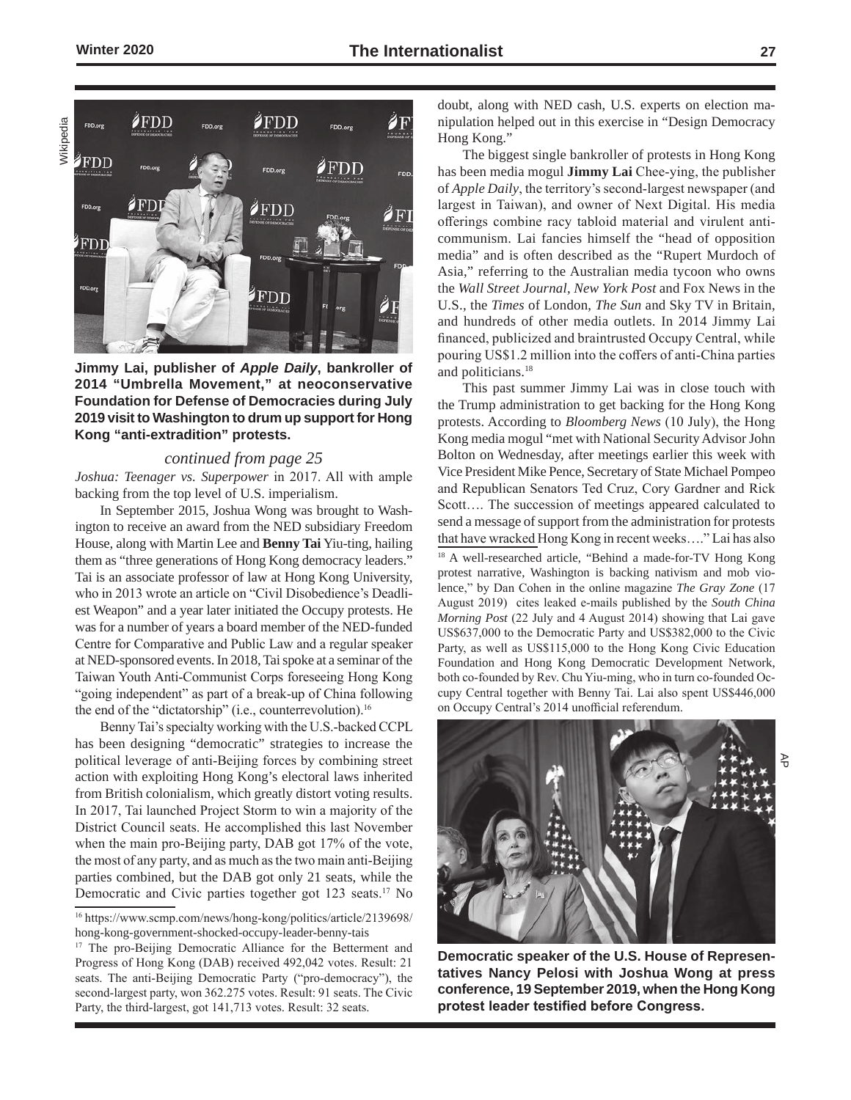

**Jimmy Lai, publisher of** *Apple Daily***, bankroller of 2014 "Umbrella Movement," at neoconservative Foundation for Defense of Democracies during July 2019 visit to Washington to drum up support for Hong Kong "anti-extradition" protests.**

#### *continued from page 25*

*Joshua: Teenager vs. Superpower* in 2017. All with ample backing from the top level of U.S. imperialism.

In September 2015, Joshua Wong was brought to Washington to receive an award from the NED subsidiary Freedom House, along with Martin Lee and **Benny Tai** Yiu-ting, hailing them as "three generations of Hong Kong democracy leaders." Tai is an associate professor of law at Hong Kong University, who in 2013 wrote an article on "Civil Disobedience's Deadliest Weapon" and a year later initiated the Occupy protests. He was for a number of years a board member of the NED-funded Centre for Comparative and Public Law and a regular speaker at NED-sponsored events. In 2018, Tai spoke at a seminar of the Taiwan Youth Anti-Communist Corps foreseeing Hong Kong "going independent" as part of a break-up of China following the end of the "dictatorship" (i.e., counterrevolution).<sup>16</sup>

Benny Tai's specialty working with the U.S.-backed CCPL has been designing "democratic" strategies to increase the political leverage of anti-Beijing forces by combining street action with exploiting Hong Kong's electoral laws inherited from British colonialism, which greatly distort voting results. In 2017, Tai launched Project Storm to win a majority of the District Council seats. He accomplished this last November when the main pro-Beijing party, DAB got 17% of the vote, the most of any party, and as much as the two main anti-Beijing parties combined, but the DAB got only 21 seats, while the Democratic and Civic parties together got 123 seats.<sup>17</sup> No

doubt, along with NED cash, U.S. experts on election manipulation helped out in this exercise in "Design Democracy Hong Kong."

The biggest single bankroller of protests in Hong Kong has been media mogul **Jimmy Lai** Chee-ying, the publisher of *Apple Daily*, the territory's second-largest newspaper (and largest in Taiwan), and owner of Next Digital. His media offerings combine racy tabloid material and virulent anticommunism. Lai fancies himself the "head of opposition media" and is often described as the "Rupert Murdoch of Asia," referring to the Australian media tycoon who owns the *Wall Street Journal*, *New York Post* and Fox News in the U.S., the *Times* of London, *The Sun* and Sky TV in Britain, and hundreds of other media outlets. In 2014 Jimmy Lai financed, publicized and braintrusted Occupy Central, while pouring US\$1.2 million into the coffers of anti-China parties and politicians.18

This past summer Jimmy Lai was in close touch with the Trump administration to get backing for the Hong Kong protests. According to *Bloomberg News* (10 July), the Hong Kong media mogul "met with National Security Advisor John Bolton on Wednesday, after meetings earlier this week with Vice President Mike Pence, Secretary of State Michael Pompeo and Republican Senators Ted Cruz, Cory Gardner and Rick Scott…. The succession of meetings appeared calculated to send a message of support from the administration for protests that have wracked Hong Kong in recent weeks…." Lai has also <sup>18</sup> A well-researched article, "Behind a made-for-TV Hong Kong

protest narrative, Washington is backing nativism and mob violence," by Dan Cohen in the online magazine *The Gray Zone* (17 August 2019) cites leaked e-mails published by the *South China Morning Post* (22 July and 4 August 2014) showing that Lai gave US\$637,000 to the Democratic Party and US\$382,000 to the Civic Party, as well as US\$115,000 to the Hong Kong Civic Education Foundation and Hong Kong Democratic Development Network, both co-founded by Rev. Chu Yiu-ming, who in turn co-founded Occupy Central together with Benny Tai. Lai also spent US\$446,000 on Occupy Central's 2014 unofficial referendum.



**Democratic speaker of the U.S. House of Representatives Nancy Pelosi with Joshua Wong at press conference, 19 September 2019, when the Hong Kong protest leader testified before Congress.**

ਣ<br>ਹ

<sup>16</sup> https://www.scmp.com/news/hong-kong/politics/article/2139698/ hong-kong-government-shocked-occupy-leader-benny-tais

<sup>&</sup>lt;sup>17</sup> The pro-Beijing Democratic Alliance for the Betterment and Progress of Hong Kong (DAB) received 492,042 votes. Result: 21 seats. The anti-Beijing Democratic Party ("pro-democracy"), the second-largest party, won 362.275 votes. Result: 91 seats. The Civic Party, the third-largest, got 141,713 votes. Result: 32 seats.